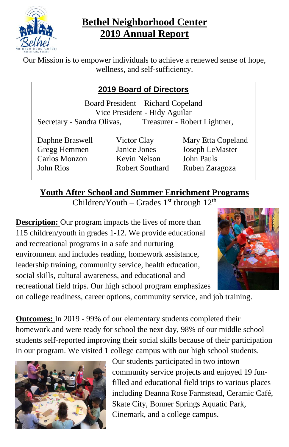

# **Bethel Neighborhood Center 2019 Annual Report**

Our Mission is to empower individuals to achieve a renewed sense of hope, wellness, and self-sufficiency.

# **2019 Board of Directors**

Board President – Richard Copeland Vice President - Hidy Aguilar Secretary - Sandra Olivas, Treasurer - Robert Lightner,

Carlos Monzon Kevin Nelson John Pauls

Daphne Braswell Victor Clay Mary Etta Copeland Gregg Hemmen Janice Jones Joseph LeMaster John Rios Robert Southard Ruben Zaragoza

# **Youth After School and Summer Enrichment Programs**

Children/Youth – Grades  $1<sup>st</sup>$  through  $12<sup>th</sup>$ 

**Description:** Our program impacts the lives of more than 115 children/youth in grades 1-12. We provide educational and recreational programs in a safe and nurturing environment and includes reading, homework assistance, leadership training, community service, health education, social skills, cultural awareness, and educational and recreational field trips. Our high school program emphasizes



on college readiness, career options, community service, and job training.

**Outcomes:** In 2019 - 99% of our elementary students completed their homework and were ready for school the next day, 98% of our middle school students self-reported improving their social skills because of their participation in our program. We visited 1 college campus with our high school students.



Our students participated in two intown community service projects and enjoyed 19 funfilled and educational field trips to various places including Deanna Rose Farmstead, Ceramic Café, Skate City, Bonner Springs Aquatic Park, Cinemark, and a college campus.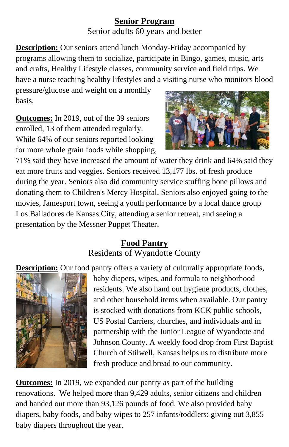# **Senior Program** Senior adults 60 years and better

**Description:** Our seniors attend lunch Monday-Friday accompanied by programs allowing them to socialize, participate in Bingo, games, music, arts and crafts, Healthy Lifestyle classes, community service and field trips. We have a nurse teaching healthy lifestyles and a visiting nurse who monitors blood

pressure/glucose and weight on a monthly basis.

**Outcomes:** In 2019, out of the 39 seniors enrolled, 13 of them attended regularly. While 64% of our seniors reported looking for more whole grain foods while shopping,



71% said they have increased the amount of water they drink and 64% said they eat more fruits and veggies. Seniors received 13,177 lbs. of fresh produce during the year. Seniors also did community service stuffing bone pillows and donating them to Children's Mercy Hospital. Seniors also enjoyed going to the movies, Jamesport town, seeing a youth performance by a local dance group Los Bailadores de Kansas City, attending a senior retreat, and seeing a presentation by the Messner Puppet Theater.

# **Food Pantry**

Residents of Wyandotte County

**Description:** Our food pantry offers a variety of culturally appropriate foods,



baby diapers, wipes, and formula to neighborhood residents. We also hand out hygiene products, clothes, and other household items when available. Our pantry is stocked with donations from KCK public schools, US Postal Carriers, churches, and individuals and in partnership with the Junior League of Wyandotte and Johnson County. A weekly food drop from First Baptist Church of Stilwell, Kansas helps us to distribute more fresh produce and bread to our community.

**Outcomes:** In 2019, we expanded our pantry as part of the building renovations. We helped more than 9,429 adults, senior citizens and children and handed out more than 93,126 pounds of food. We also provided baby diapers, baby foods, and baby wipes to 257 infants/toddlers: giving out 3,855 baby diapers throughout the year.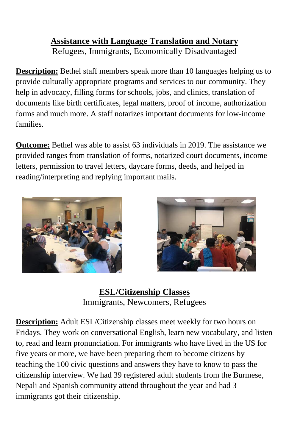# **Assistance with Language Translation and Notary** Refugees, Immigrants, Economically Disadvantaged

**Description:** Bethel staff members speak more than 10 languages helping us to provide culturally appropriate programs and services to our community. They help in advocacy, filling forms for schools, jobs, and clinics, translation of documents like birth certificates, legal matters, proof of income, authorization forms and much more. A staff notarizes important documents for low-income families.

**Outcome:** Bethel was able to assist 63 individuals in 2019. The assistance we provided ranges from translation of forms, notarized court documents, income letters, permission to travel letters, daycare forms, deeds, and helped in reading/interpreting and replying important mails.





**ESL/Citizenship Classes** Immigrants, Newcomers, Refugees

**Description:** Adult ESL/Citizenship classes meet weekly for two hours on Fridays. They work on conversational English, learn new vocabulary, and listen to, read and learn pronunciation. For immigrants who have lived in the US for five years or more, we have been preparing them to become citizens by teaching the 100 civic questions and answers they have to know to pass the citizenship interview. We had 39 registered adult students from the Burmese, Nepali and Spanish community attend throughout the year and had 3 immigrants got their citizenship.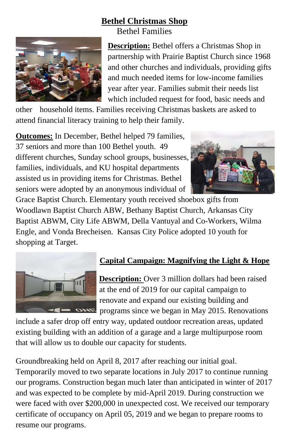# **Bethel Christmas Shop**

Bethel Families



**Description:** Bethel offers a Christmas Shop in partnership with Prairie Baptist Church since 1968 and other churches and individuals, providing gifts and much needed items for low-income families year after year. Families submit their needs list which included request for food, basic needs and

other household items. Families receiving Christmas baskets are asked to attend financial literacy training to help their family.

**Outcomes:** In December, Bethel helped 79 families, 37 seniors and more than 100 Bethel youth. 49 different churches, Sunday school groups, businesses, families, individuals, and KU hospital departments assisted us in providing items for Christmas. Bethel seniors were adopted by an anonymous individual of



Grace Baptist Church. Elementary youth received shoebox gifts from Woodlawn Baptist Church ABW, Bethany Baptist Church, Arkansas City Baptist ABWM, City Life ABWM, Della Vantuyal and Co-Workers, Wilma Engle, and Vonda Brecheisen. Kansas City Police adopted 10 youth for shopping at Target.



#### **Capital Campaign: Magnifying the Light & Hope**

**Description:** Over 3 million dollars had been raised at the end of 2019 for our capital campaign to renovate and expand our existing building and **programs since we began in May 2015. Renovations** 

include a safer drop off entry way, updated outdoor recreation areas, updated existing building with an addition of a garage and a large multipurpose room that will allow us to double our capacity for students.

Groundbreaking held on April 8, 2017 after reaching our initial goal. Temporarily moved to two separate locations in July 2017 to continue running our programs. Construction began much later than anticipated in winter of 2017 and was expected to be complete by mid-April 2019. During construction we were faced with over \$200,000 in unexpected cost. We received our temporary certificate of occupancy on April 05, 2019 and we began to prepare rooms to resume our programs.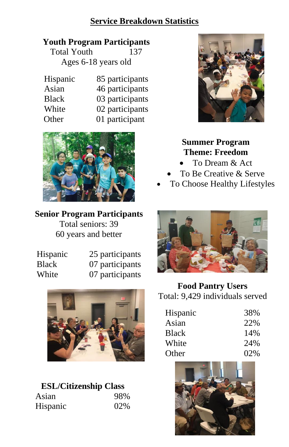## **Service Breakdown Statistics**

#### **Youth Program Participants**

Total Youth 137 Ages 6-18 years old

| Hispanic     | 85 participants |
|--------------|-----------------|
| Asian        | 46 participants |
| <b>Black</b> | 03 participants |
| White        | 02 participants |
| Other        | 01 participant  |



#### **Senior Program Participants**

Total seniors: 39 60 years and better

| Hispanic | 25 participants |
|----------|-----------------|
| Black    | 07 participants |
| White    | 07 participants |



# **ESL/Citizenship Class** Asian 98% Hispanic 02%



# **Summer Program Theme: Freedom**

- To Dream & Act
- To Be Creative & Serve
- To Choose Healthy Lifestyles



# **Food Pantry Users** Total: 9,429 individuals served

| Hispanic     | 38% |
|--------------|-----|
| Asian        | 22% |
| <b>Black</b> | 14% |
| White        | 24% |
| Other        | 02% |

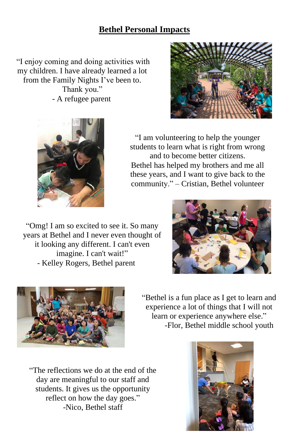# **Bethel Personal Impacts**

"I enjoy coming and doing activities with my children. I have already learned a lot from the Family Nights I've been to. Thank you." - A refugee parent





"I am volunteering to help the younger students to learn what is right from wrong and to become better citizens. Bethel has helped my brothers and me all these years, and I want to give back to the community." – Cristian, Bethel volunteer

"Omg! I am so excited to see it. So many years at Bethel and I never even thought of it looking any different. I can't even imagine. I can't wait!" - Kelley Rogers, Bethel parent





"Bethel is a fun place as I get to learn and experience a lot of things that I will not learn or experience anywhere else." -Flor, Bethel middle school youth

"The reflections we do at the end of the day are meaningful to our staff and students. It gives us the opportunity reflect on how the day goes." -Nico, Bethel staff

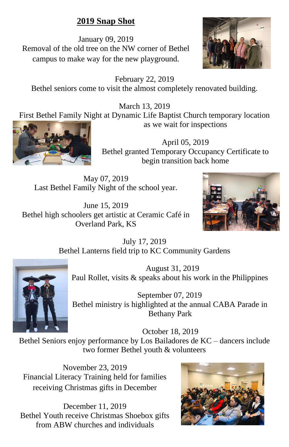# **2019 Snap Shot**

January 09, 2019 Removal of the old tree on the NW corner of Bethel campus to make way for the new playground.



February 22, 2019 Bethel seniors come to visit the almost completely renovated building.

March 13, 2019 First Bethel Family Night at Dynamic Life Baptist Church temporary location as we wait for inspections



April 05, 2019 Bethel granted Temporary Occupancy Certificate to begin transition back home

May 07, 2019 Last Bethel Family Night of the school year.

June 15, 2019 Bethel high schoolers get artistic at Ceramic Café in Overland Park, KS



July 17, 2019 Bethel Lanterns field trip to KC Community Gardens



August 31, 2019 Paul Rollet, visits & speaks about his work in the Philippines

September 07, 2019 Bethel ministry is highlighted at the annual CABA Parade in Bethany Park

October 18, 2019 Bethel Seniors enjoy performance by Los Bailadores de KC – dancers include two former Bethel youth & volunteers

November 23, 2019 Financial Literacy Training held for families receiving Christmas gifts in December

December 11, 2019 Bethel Youth receive Christmas Shoebox gifts from ABW churches and individuals